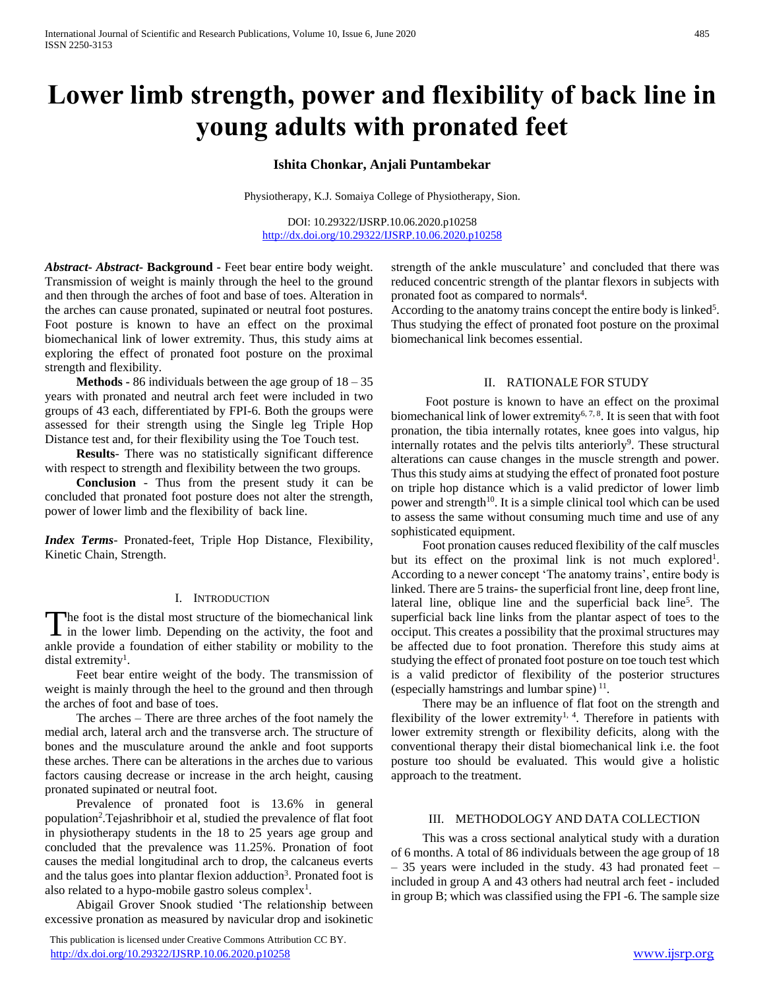# **Lower limb strength, power and flexibility of back line in young adults with pronated feet**

# **Ishita Chonkar, Anjali Puntambekar**

Physiotherapy, K.J. Somaiya College of Physiotherapy, Sion.

DOI: 10.29322/IJSRP.10.06.2020.p10258 <http://dx.doi.org/10.29322/IJSRP.10.06.2020.p10258>

*Abstract***-** *Abstract***- Background -** Feet bear entire body weight. Transmission of weight is mainly through the heel to the ground and then through the arches of foot and base of toes. Alteration in the arches can cause pronated, supinated or neutral foot postures. Foot posture is known to have an effect on the proximal biomechanical link of lower extremity. Thus, this study aims at exploring the effect of pronated foot posture on the proximal strength and flexibility.

 **Methods -** 86 individuals between the age group of 18 – 35 years with pronated and neutral arch feet were included in two groups of 43 each, differentiated by FPI-6. Both the groups were assessed for their strength using the Single leg Triple Hop Distance test and, for their flexibility using the Toe Touch test.

 **Results**- There was no statistically significant difference with respect to strength and flexibility between the two groups.

 **Conclusion** - Thus from the present study it can be concluded that pronated foot posture does not alter the strength, power of lower limb and the flexibility of back line.

*Index Terms*- Pronated-feet, Triple Hop Distance, Flexibility, Kinetic Chain, Strength.

## I. INTRODUCTION

The foot is the distal most structure of the biomechanical link The foot is the distal most structure of the biomechanical link<br>in the lower limb. Depending on the activity, the foot and ankle provide a foundation of either stability or mobility to the distal extremity<sup>1</sup>.

 Feet bear entire weight of the body. The transmission of weight is mainly through the heel to the ground and then through the arches of foot and base of toes.

 The arches – There are three arches of the foot namely the medial arch, lateral arch and the transverse arch. The structure of bones and the musculature around the ankle and foot supports these arches. There can be alterations in the arches due to various factors causing decrease or increase in the arch height, causing pronated supinated or neutral foot.

 Prevalence of pronated foot is 13.6% in general population<sup>2</sup>. Tejashribhoir et al, studied the prevalence of flat foot in physiotherapy students in the 18 to 25 years age group and concluded that the prevalence was 11.25%. Pronation of foot causes the medial longitudinal arch to drop, the calcaneus everts and the talus goes into plantar flexion adduction<sup>3</sup>. Pronated foot is also related to a hypo-mobile gastro soleus complex<sup>1</sup>.

 Abigail Grover Snook studied 'The relationship between excessive pronation as measured by navicular drop and isokinetic

 This publication is licensed under Creative Commons Attribution CC BY. <http://dx.doi.org/10.29322/IJSRP.10.06.2020.p10258> [www.ijsrp.org](http://ijsrp.org/)

strength of the ankle musculature' and concluded that there was reduced concentric strength of the plantar flexors in subjects with pronated foot as compared to normals<sup>4</sup>.

According to the anatomy trains concept the entire body is linked<sup>5</sup>. Thus studying the effect of pronated foot posture on the proximal biomechanical link becomes essential.

#### II. RATIONALE FOR STUDY

 Foot posture is known to have an effect on the proximal biomechanical link of lower extremity<sup>6, 7, 8</sup>. It is seen that with foot pronation, the tibia internally rotates, knee goes into valgus, hip internally rotates and the pelvis tilts anteriorly<sup>9</sup>. These structural alterations can cause changes in the muscle strength and power. Thus this study aims at studying the effect of pronated foot posture on triple hop distance which is a valid predictor of lower limb power and strength<sup>10</sup>. It is a simple clinical tool which can be used to assess the same without consuming much time and use of any sophisticated equipment.

 Foot pronation causes reduced flexibility of the calf muscles but its effect on the proximal link is not much explored<sup>1</sup>. According to a newer concept 'The anatomy trains', entire body is linked. There are 5 trains- the superficial front line, deep front line, lateral line, oblique line and the superficial back line<sup>5</sup>. The superficial back line links from the plantar aspect of toes to the occiput. This creates a possibility that the proximal structures may be affected due to foot pronation. Therefore this study aims at studying the effect of pronated foot posture on toe touch test which is a valid predictor of flexibility of the posterior structures (especially hamstrings and lumbar spine) $<sup>11</sup>$ .</sup>

 There may be an influence of flat foot on the strength and flexibility of the lower extremity<sup>1, 4</sup>. Therefore in patients with lower extremity strength or flexibility deficits, along with the conventional therapy their distal biomechanical link i.e. the foot posture too should be evaluated. This would give a holistic approach to the treatment.

## III. METHODOLOGY AND DATA COLLECTION

 This was a cross sectional analytical study with a duration of 6 months. A total of 86 individuals between the age group of 18  $-35$  years were included in the study. 43 had pronated feet  $$ included in group A and 43 others had neutral arch feet - included in group B; which was classified using the FPI -6. The sample size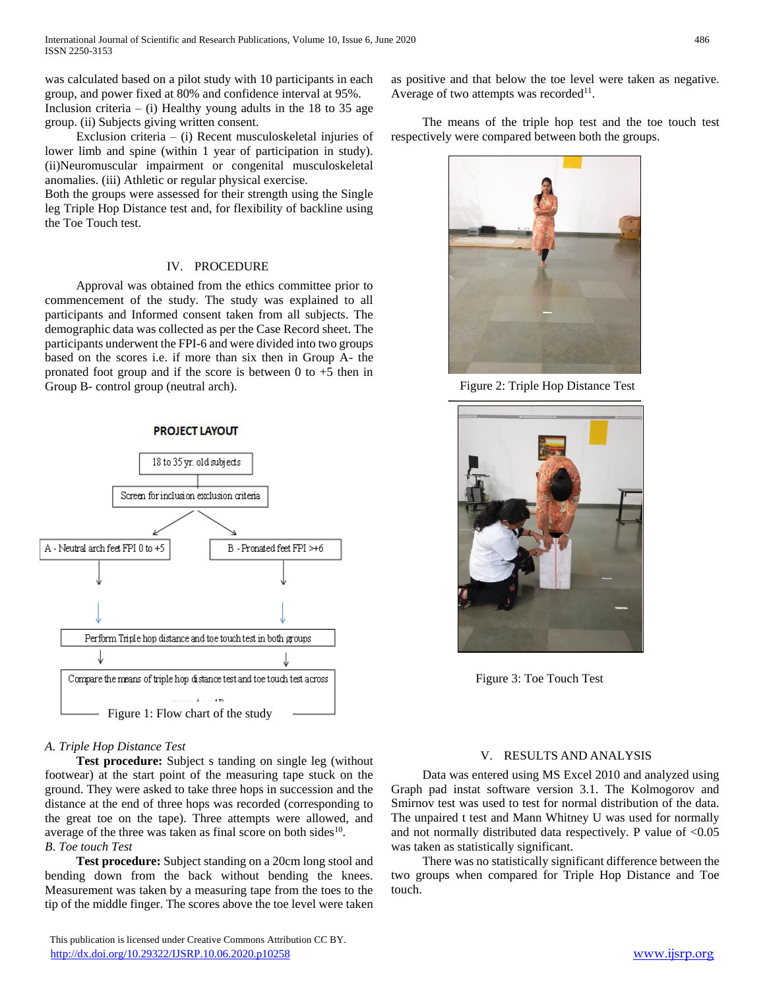was calculated based on a pilot study with 10 participants in each group, and power fixed at 80% and confidence interval at 95%. Inclusion criteria – (i) Healthy young adults in the 18 to 35 age group. (ii) Subjects giving written consent.

 Exclusion criteria – (i) Recent musculoskeletal injuries of lower limb and spine (within 1 year of participation in study). (ii)Neuromuscular impairment or congenital musculoskeletal anomalies. (iii) Athletic or regular physical exercise.

Both the groups were assessed for their strength using the Single leg Triple Hop Distance test and, for flexibility of backline using the Toe Touch test.

# IV. PROCEDURE

 Approval was obtained from the ethics committee prior to commencement of the study. The study was explained to all participants and Informed consent taken from all subjects. The demographic data was collected as per the Case Record sheet. The participants underwent the FPI-6 and were divided into two groups based on the scores i.e. if more than six then in Group A- the pronated foot group and if the score is between  $0$  to  $+5$  then in Group B- control group (neutral arch).

**PROJECT LAYOUT** 



# *A. Triple Hop Distance Test*

 **Test procedure:** Subject s tanding on single leg (without footwear) at the start point of the measuring tape stuck on the ground. They were asked to take three hops in succession and the distance at the end of three hops was recorded (corresponding to the great toe on the tape). Three attempts were allowed, and average of the three was taken as final score on both sides $10$ . *B*. *Toe touch Test*

 **Test procedure:** Subject standing on a 20cm long stool and bending down from the back without bending the knees. Measurement was taken by a measuring tape from the toes to the tip of the middle finger. The scores above the toe level were taken

 This publication is licensed under Creative Commons Attribution CC BY. <http://dx.doi.org/10.29322/IJSRP.10.06.2020.p10258> [www.ijsrp.org](http://ijsrp.org/)

as positive and that below the toe level were taken as negative. Average of two attempts was recorded<sup>11</sup>.

 The means of the triple hop test and the toe touch test respectively were compared between both the groups.



Figure 2: Triple Hop Distance Test



Figure 3: Toe Touch Test

# V. RESULTS AND ANALYSIS

 Data was entered using MS Excel 2010 and analyzed using Graph pad instat software version 3.1. The Kolmogorov and Smirnov test was used to test for normal distribution of the data. The unpaired t test and Mann Whitney U was used for normally and not normally distributed data respectively. P value of <0.05 was taken as statistically significant.

 There was no statistically significant difference between the two groups when compared for Triple Hop Distance and Toe touch.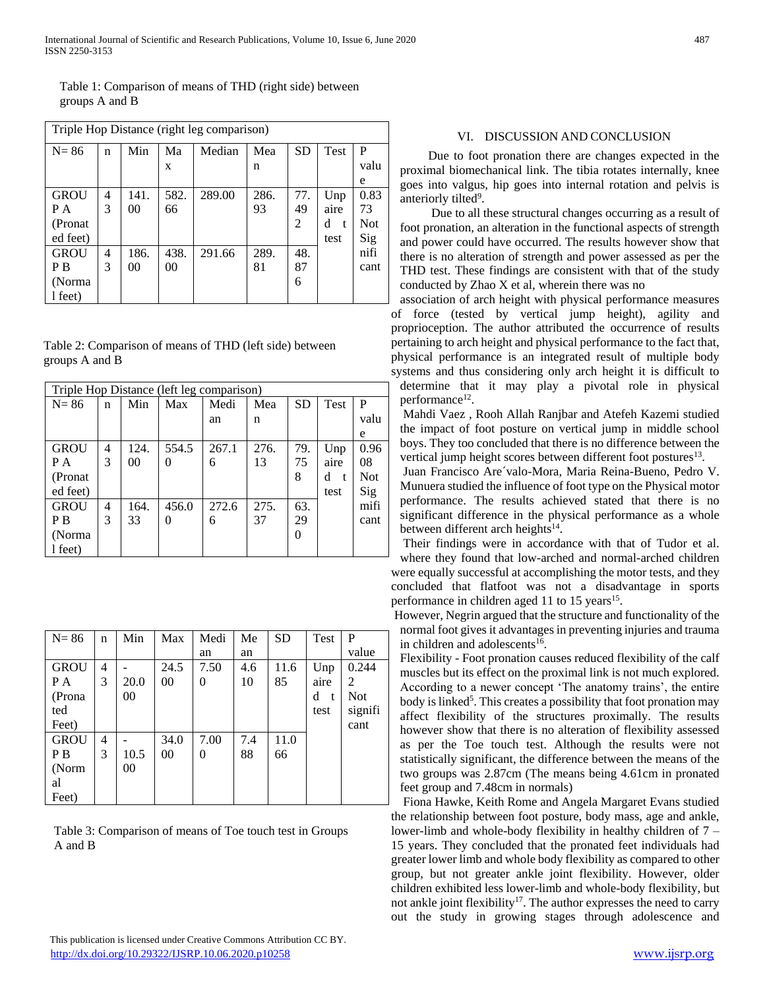Table 1: Comparison of means of THD (right side) between groups A and B

| Triple Hop Distance (right leg comparison) |   |                |      |        |      |           |             |            |
|--------------------------------------------|---|----------------|------|--------|------|-----------|-------------|------------|
| $N = 86$                                   | n | Min            | Ma   | Median | Mea  | <b>SD</b> | <b>Test</b> | P          |
|                                            |   |                | X    |        | n    |           |             | valu       |
|                                            |   |                |      |        |      |           |             | e          |
| <b>GROU</b>                                | 4 | 141.           | 582. | 289.00 | 286. | 77.       | Unp         | 0.83       |
| P A                                        | 3 | 0 <sup>0</sup> | 66   |        | 93   | 49        | aire        | 73         |
| (Pronat)                                   |   |                |      |        |      | 2         | d<br>t.     | <b>Not</b> |
| ed feet)                                   |   |                |      |        |      |           | test        | Sig        |
| <b>GROU</b>                                | 4 | 186.           | 438. | 291.66 | 289. | 48.       |             | nifi       |
| P <sub>B</sub>                             | 3 | 0 <sup>0</sup> | 00   |        | 81   | 87        |             | cant       |
| (Norma)                                    |   |                |      |        |      | 6         |             |            |
| l feet)                                    |   |                |      |        |      |           |             |            |

Table 2: Comparison of means of THD (left side) between groups A and B

| Triple Hop Distance (left leg comparison) |   |      |       |       |      |           |                   |            |
|-------------------------------------------|---|------|-------|-------|------|-----------|-------------------|------------|
| $N = 86$                                  | n | Min  | Max   | Medi  | Mea  | <b>SD</b> | <b>Test</b>       | P          |
|                                           |   |      |       | an    | n    |           |                   | valu       |
|                                           |   |      |       |       |      |           |                   | e          |
| <b>GROU</b>                               | 4 | 124. | 554.5 | 267.1 | 276. | 79.       | Unp               | 0.96       |
| P A                                       | 3 | 00   | 0     | 6     | 13   | 75        | aire              | 08         |
| (Pronat                                   |   |      |       |       |      | 8         | d<br>$\mathbf{f}$ | <b>Not</b> |
| ed feet)                                  |   |      |       |       |      |           | test              | Sig        |
| <b>GROU</b>                               | 4 | 164. | 456.0 | 272.6 | 275. | 63.       |                   | mifi       |
| P <sub>B</sub>                            | 3 | 33   | 0     | 6     | 37   | 29        |                   | cant       |
| (Norma                                    |   |      |       |       |      |           |                   |            |
| l feet)                                   |   |      |       |       |      |           |                   |            |

| $N = 86$       | n | Min    | Max            | Medi     | Me  | <b>SD</b> | Test              | P          |
|----------------|---|--------|----------------|----------|-----|-----------|-------------------|------------|
|                |   |        |                | an       | an  |           |                   | value      |
| <b>GROU</b>    | 4 |        | 24.5           | 7.50     | 4.6 | 11.6      | Unp               | 0.244      |
| P A            | 3 | 20.0   | 00             | $\theta$ | 10  | 85        | aire              | 2          |
| (Prona         |   | 00     |                |          |     |           | d<br>$\mathbf{f}$ | <b>Not</b> |
| ted            |   |        |                |          |     |           | test              | signifi    |
| Feet)          |   |        |                |          |     |           |                   | cant       |
| <b>GROU</b>    | 4 |        | 34.0           | 7.00     | 7.4 | 11.0      |                   |            |
| P <sub>B</sub> | 3 | 10.5   | 0 <sup>0</sup> | $\theta$ | 88  | 66        |                   |            |
| (Norm          |   | $00\,$ |                |          |     |           |                   |            |
| al             |   |        |                |          |     |           |                   |            |
| Feet)          |   |        |                |          |     |           |                   |            |

Table 3: Comparison of means of Toe touch test in Groups A and B

# VI. DISCUSSION AND CONCLUSION

 Due to foot pronation there are changes expected in the proximal biomechanical link. The tibia rotates internally, knee goes into valgus, hip goes into internal rotation and pelvis is anteriorly tilted<sup>9</sup>.

 Due to all these structural changes occurring as a result of foot pronation, an alteration in the functional aspects of strength and power could have occurred. The results however show that there is no alteration of strength and power assessed as per the THD test. These findings are consistent with that of the study conducted by Zhao X et al, wherein there was no

association of arch height with physical performance measures of force (tested by vertical jump height), agility and proprioception. The author attributed the occurrence of results pertaining to arch height and physical performance to the fact that, physical performance is an integrated result of multiple body systems and thus considering only arch height it is difficult to determine that it may play a pivotal role in physical performance<sup>12</sup>.

Mahdi Vaez , Rooh Allah Ranjbar and Atefeh Kazemi studied the impact of foot posture on vertical jump in middle school boys. They too concluded that there is no difference between the vertical jump height scores between different foot postures<sup>13</sup>.

Juan Francisco Are´valo-Mora, Maria Reina-Bueno, Pedro V. Munuera studied the influence of foot type on the Physical motor performance. The results achieved stated that there is no significant difference in the physical performance as a whole between different arch heights<sup>14</sup>.

Their findings were in accordance with that of Tudor et al. where they found that low-arched and normal-arched children were equally successful at accomplishing the motor tests, and they concluded that flatfoot was not a disadvantage in sports performance in children aged 11 to 15 years<sup>15</sup>.

However, Negrin argued that the structure and functionality of the normal foot gives it advantages in preventing injuries and trauma in children and adolescents<sup>16</sup>.

Flexibility - Foot pronation causes reduced flexibility of the calf muscles but its effect on the proximal link is not much explored. According to a newer concept 'The anatomy trains', the entire body is linked<sup>5</sup>. This creates a possibility that foot pronation may affect flexibility of the structures proximally. The results however show that there is no alteration of flexibility assessed as per the Toe touch test. Although the results were not statistically significant, the difference between the means of the two groups was 2.87cm (The means being 4.61cm in pronated feet group and 7.48cm in normals)

Fiona Hawke, Keith Rome and Angela Margaret Evans studied the relationship between foot posture, body mass, age and ankle, lower-limb and whole-body flexibility in healthy children of 7 – 15 years. They concluded that the pronated feet individuals had greater lower limb and whole body flexibility as compared to other group, but not greater ankle joint flexibility. However, older children exhibited less lower-limb and whole-body flexibility, but not ankle joint flexibility<sup>17</sup>. The author expresses the need to carry out the study in growing stages through adolescence and